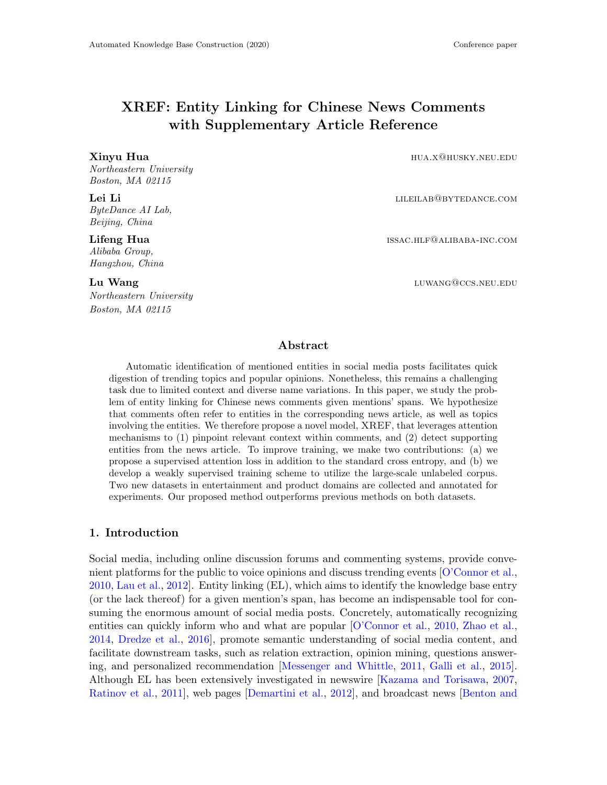# XREF: Entity Linking for Chinese News Comments with Supplementary Article Reference

Northeastern University Boston, MA 02115

ByteDance AI Lab, Beijing, China

Alibaba Group, Hangzhou, China

Northeastern University Boston, MA 02115

Xinyu Hua hua hua hua.x@husky.neu.edu

**Lei Li** lileilab@bytedance.com

Lifeng Hua **issac.hlf@alibaba-inc.com** issac.hlf@alibaba-inc.com

**Lu Wang** luwang@ccs.neu.edu

# Abstract

Automatic identification of mentioned entities in social media posts facilitates quick digestion of trending topics and popular opinions. Nonetheless, this remains a challenging task due to limited context and diverse name variations. In this paper, we study the problem of entity linking for Chinese news comments given mentions' spans. We hypothesize that comments often refer to entities in the corresponding news article, as well as topics involving the entities. We therefore propose a novel model, XREF, that leverages attention mechanisms to (1) pinpoint relevant context within comments, and (2) detect supporting entities from the news article. To improve training, we make two contributions: (a) we propose a supervised attention loss in addition to the standard cross entropy, and (b) we develop a weakly supervised training scheme to utilize the large-scale unlabeled corpus. Two new datasets in entertainment and product domains are collected and annotated for experiments. Our proposed method outperforms previous methods on both datasets.

# 1. Introduction

Social media, including online discussion forums and commenting systems, provide convenient platforms for the public to voice opinions and discuss trending events [\[O'Connor et al.,](#page-15-0) [2010,](#page-15-0) [Lau et al.,](#page-14-0) [2012\]](#page-14-0). Entity linking (EL), which aims to identify the knowledge base entry (or the lack thereof) for a given mention's span, has become an indispensable tool for consuming the enormous amount of social media posts. Concretely, automatically recognizing entities can quickly inform who and what are popular [\[O'Connor et al.,](#page-15-0) [2010,](#page-15-0) [Zhao et al.,](#page-16-0) [2014,](#page-16-0) [Dredze et al.,](#page-12-0) [2016\]](#page-12-0), promote semantic understanding of social media content, and facilitate downstream tasks, such as relation extraction, opinion mining, questions answering, and personalized recommendation [\[Messenger and Whittle,](#page-14-1) [2011,](#page-14-1) [Galli et al.,](#page-12-1) [2015\]](#page-12-1). Although EL has been extensively investigated in newswire [\[Kazama and Torisawa,](#page-14-2) [2007,](#page-14-2) [Ratinov et al.,](#page-15-1) [2011\]](#page-15-1), web pages [\[Demartini et al.,](#page-12-2) [2012\]](#page-12-2), and broadcast news [\[Benton and](#page-11-0)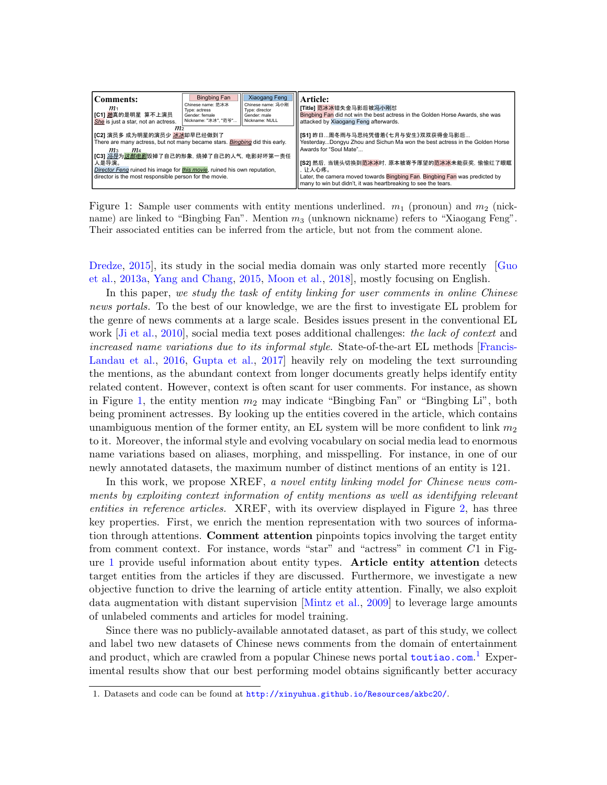<span id="page-1-0"></span>

| Comments:<br>m <sub>1</sub><br>IC11 她真的是明星 算不上演员<br>She is just a star, not an actress.                                                                                                           | <b>Bingbing Fan</b><br>Chinese name: 范冰冰<br>Type: actress<br>Gender: female<br>Nickname: "冰冰", "范爷" | Xiaogang Feng<br>Chinese name: 冯小刚<br>Type: director<br>Gender: male<br>Nickname: NULL | Article:<br>  [Title] 范冰冰错失金马影后被冯小刚怼<br><b>Il Bingbing Fan</b> did not win the best actress in the Golden Horse Awards, she was<br>attacked by Xiaogang Feng afterwards.                                 |
|---------------------------------------------------------------------------------------------------------------------------------------------------------------------------------------------------|-----------------------------------------------------------------------------------------------------|----------------------------------------------------------------------------------------|----------------------------------------------------------------------------------------------------------------------------------------------------------------------------------------------------------|
| m2<br>【C2】演员多 成为明星的演员少 <mark>冰冰</mark> 却早已经做到了<br>There are many actress, but not many became stars. Bingbing did this early.<br>m <sub>3</sub><br>m4<br>[C3] 冯导为这部电影毁掉了自己的形象, 烧掉了自己的人气, 电影好坏第一责任 |                                                                                                     |                                                                                        | [S1] 昨日周冬雨与马思纯凭借着《七月与安生》双双获得金马影后<br>YesterdayDongyu Zhou and Sichun Ma won the best actress in the Golden Horse<br>Awards for "Soul Mate"                                                                |
| 人是导演。<br>Director Feng ruined his image for this movie, ruined his own reputation.<br>director is the most responsible person for the movie.                                                      |                                                                                                     |                                                                                        | 1 [S2] 然后, 当镜头切换到范冰冰时, 原本被寄予厚望的范冰冰未能获奖, 偷偷红了眼眶<br>让人心疼。<br>Later, the camera moved towards Bingbing Fan. Bingbing Fan was predicted by<br>many to win but didn't, it was heartbreaking to see the tears. |

Figure 1: Sample user comments with entity mentions underlined.  $m_1$  (pronoun) and  $m_2$  (nickname) are linked to "Bingbing Fan". Mention  $m_3$  (unknown nickname) refers to "Xiaogang Feng". Their associated entities can be inferred from the article, but not from the comment alone.

[Dredze,](#page-11-0) 2015, its study in the social media domain was only started more recently [\[Guo](#page-12-3) [et al.,](#page-12-3) [2013a,](#page-12-3) [Yang and Chang,](#page-15-2) [2015,](#page-15-2) [Moon et al.,](#page-15-3) [2018\]](#page-15-3), mostly focusing on English.

In this paper, we study the task of entity linking for user comments in online Chinese news portals. To the best of our knowledge, we are the first to investigate EL problem for the genre of news comments at a large scale. Besides issues present in the conventional EL work  $J_i$  et al., 2010, social media text poses additional challenges: the lack of context and increased name variations due to its informal style. State-of-the-art EL methods [\[Francis-](#page-12-4)[Landau et al.,](#page-12-4) [2016,](#page-12-4) [Gupta et al.,](#page-13-1) [2017\]](#page-13-1) heavily rely on modeling the text surrounding the mentions, as the abundant context from longer documents greatly helps identify entity related content. However, context is often scant for user comments. For instance, as shown in Figure [1,](#page-1-0) the entity mention  $m_2$  may indicate "Bingbing Fan" or "Bingbing Li", both being prominent actresses. By looking up the entities covered in the article, which contains unambiguous mention of the former entity, an EL system will be more confident to link  $m_2$ to it. Moreover, the informal style and evolving vocabulary on social media lead to enormous name variations based on aliases, morphing, and misspelling. For instance, in one of our newly annotated datasets, the maximum number of distinct mentions of an entity is 121.

In this work, we propose XREF, a novel entity linking model for Chinese news comments by exploiting context information of entity mentions as well as identifying relevant entities in reference articles. XREF, with its overview displayed in Figure [2,](#page-2-0) has three key properties. First, we enrich the mention representation with two sources of information through attentions. Comment attention pinpoints topics involving the target entity from comment context. For instance, words "star" and "actress" in comment C1 in Figure [1](#page-1-0) provide useful information about entity types. Article entity attention detects target entities from the articles if they are discussed. Furthermore, we investigate a new objective function to drive the learning of article entity attention. Finally, we also exploit data augmentation with distant supervision [\[Mintz et al.,](#page-14-3) [2009\]](#page-14-3) to leverage large amounts of unlabeled comments and articles for model training.

Since there was no publicly-available annotated dataset, as part of this study, we collect and label two new datasets of Chinese news comments from the domain of entertainment and product, which are crawled from a popular Chinese news portal <toutiao.com>.<sup>[1](#page-1-1)</sup> Experimental results show that our best performing model obtains significantly better accuracy

<span id="page-1-1"></span><sup>1.</sup> Datasets and code can be found at <http://xinyuhua.github.io/Resources/akbc20/>.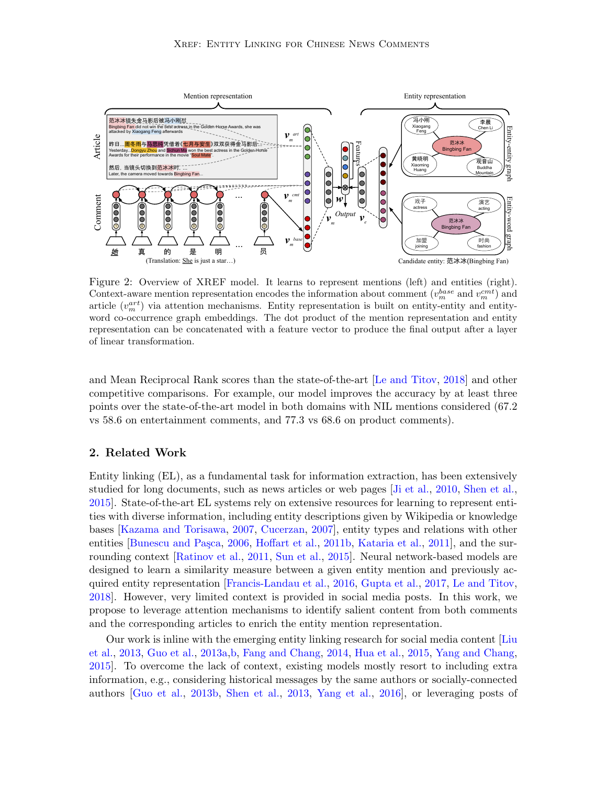<span id="page-2-0"></span>

Figure 2: Overview of XREF model. It learns to represent mentions (left) and entities (right). Context-aware mention representation encodes the information about comment  $(v_m^{base} \text{ and } v_m^{cmt})$  and article  $(v_m^{art})$  via attention mechanisms. Entity representation is built on entity-entity and entityword co-occurrence graph embeddings. The dot product of the mention representation and entity representation can be concatenated with a feature vector to produce the final output after a layer of linear transformation.

and Mean Reciprocal Rank scores than the state-of-the-art [\[Le and Titov,](#page-14-4) [2018\]](#page-14-4) and other competitive comparisons. For example, our model improves the accuracy by at least three points over the state-of-the-art model in both domains with NIL mentions considered (67.2 vs 58.6 on entertainment comments, and 77.3 vs 68.6 on product comments).

# 2. Related Work

Entity linking (EL), as a fundamental task for information extraction, has been extensively studied for long documents, such as news articles or web pages [\[Ji et al.,](#page-13-0) [2010,](#page-13-0) [Shen et al.,](#page-15-4) [2015\]](#page-15-4). State-of-the-art EL systems rely on extensive resources for learning to represent entities with diverse information, including entity descriptions given by Wikipedia or knowledge bases [\[Kazama and Torisawa,](#page-14-2) [2007,](#page-14-2) [Cucerzan,](#page-12-5) [2007\]](#page-12-5), entity types and relations with other entities [Bunescu and Paşca, [2006,](#page-11-1) [Hoffart et al.,](#page-13-2) [2011b,](#page-13-2) [Kataria et al.,](#page-14-5) [2011\]](#page-14-5), and the surrounding context [\[Ratinov et al.,](#page-15-1) [2011,](#page-15-1) [Sun et al.,](#page-15-5) [2015\]](#page-15-5). Neural network-based models are designed to learn a similarity measure between a given entity mention and previously acquired entity representation [\[Francis-Landau et al.,](#page-12-4) [2016,](#page-12-4) [Gupta et al.,](#page-13-1) [2017,](#page-13-1) [Le and Titov,](#page-14-4) [2018\]](#page-14-4). However, very limited context is provided in social media posts. In this work, we propose to leverage attention mechanisms to identify salient content from both comments and the corresponding articles to enrich the entity mention representation.

Our work is inline with the emerging entity linking research for social media content [\[Liu](#page-14-6) [et al.,](#page-14-6) [2013,](#page-14-6) [Guo et al.,](#page-12-3) [2013a,](#page-12-3)[b,](#page-13-3) [Fang and Chang,](#page-12-6) [2014,](#page-12-6) [Hua et al.,](#page-13-4) [2015,](#page-13-4) [Yang and Chang,](#page-15-2) [2015\]](#page-15-2). To overcome the lack of context, existing models mostly resort to including extra information, e.g., considering historical messages by the same authors or socially-connected authors [\[Guo et al.,](#page-13-3) [2013b,](#page-13-3) [Shen et al.,](#page-15-6) [2013,](#page-15-6) [Yang et al.,](#page-16-1) [2016\]](#page-16-1), or leveraging posts of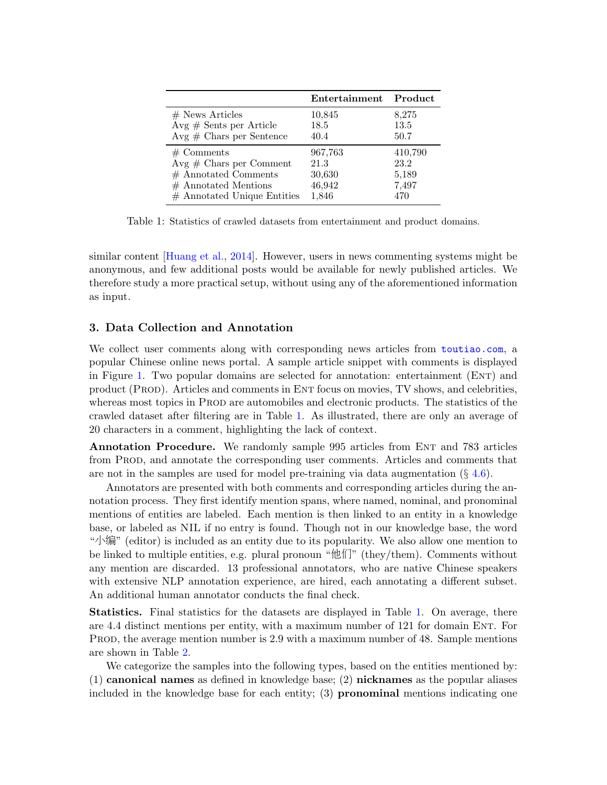<span id="page-3-0"></span>

|                               | Entertainment Product |         |
|-------------------------------|-----------------------|---------|
| $#$ News Articles             | 10,845                | 8,275   |
| $Avg \# Sents per Article$    | 18.5                  | 13.5    |
| $Avg \# Charles per Sentence$ | 40.4                  | 50.7    |
| $#$ Comments                  | 967,763               | 410,790 |
| $Avg \# Chars$ per Comment    | 21.3                  | 23.2    |
| $#$ Annotated Comments        | 30,630                | 5,189   |
| $#$ Annotated Mentions        | 46,942                | 7,497   |
| $#$ Annotated Unique Entities | 1,846                 | 470     |

Table 1: Statistics of crawled datasets from entertainment and product domains.

similar content [\[Huang et al.,](#page-13-5) [2014\]](#page-13-5). However, users in news commenting systems might be anonymous, and few additional posts would be available for newly published articles. We therefore study a more practical setup, without using any of the aforementioned information as input.

# 3. Data Collection and Annotation

We collect user comments along with corresponding news articles from <toutiao.com>, a popular Chinese online news portal. A sample article snippet with comments is displayed in Figure [1.](#page-1-0) Two popular domains are selected for annotation: entertainment (ENT) and product (Prod). Articles and comments in Ent focus on movies, TV shows, and celebrities, whereas most topics in PROD are automobiles and electronic products. The statistics of the crawled dataset after filtering are in Table [1.](#page-3-0) As illustrated, there are only an average of 20 characters in a comment, highlighting the lack of context.

**Annotation Procedure.** We randomly sample 995 articles from ENT and 783 articles from Prod, and annotate the corresponding user comments. Articles and comments that are not in the samples are used for model pre-training via data augmentation  $(\S 4.6)$  $(\S 4.6)$ .

Annotators are presented with both comments and corresponding articles during the annotation process. They first identify mention spans, where named, nominal, and pronominal mentions of entities are labeled. Each mention is then linked to an entity in a knowledge base, or labeled as NIL if no entry is found. Though not in our knowledge base, the word "小编" (editor) is included as an entity due to its popularity. We also allow one mention to be linked to multiple entities, e.g. plural pronoun "他们" (they/them). Comments without any mention are discarded. 13 professional annotators, who are native Chinese speakers with extensive NLP annotation experience, are hired, each annotating a different subset. An additional human annotator conducts the final check.

Statistics. Final statistics for the datasets are displayed in Table [1.](#page-3-0) On average, there are 4.4 distinct mentions per entity, with a maximum number of 121 for domain Ent. For Prod, the average mention number is 2.9 with a maximum number of 48. Sample mentions are shown in Table [2.](#page-4-0)

We categorize the samples into the following types, based on the entities mentioned by:  $(1)$  canonical names as defined in knowledge base;  $(2)$  nicknames as the popular aliases included in the knowledge base for each entity;  $(3)$  **pronominal** mentions indicating one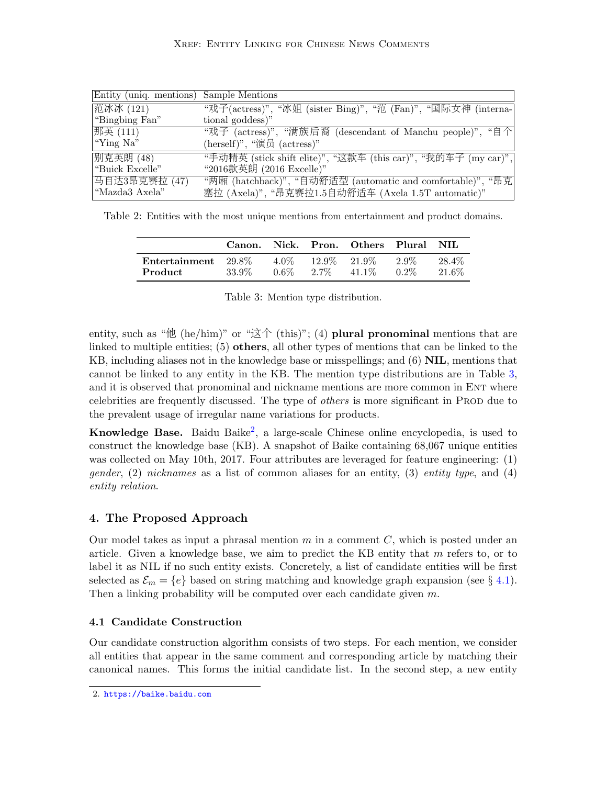<span id="page-4-0"></span>

| Entity (uniq. mentions) Sample Mentions |                                                                |
|-----------------------------------------|----------------------------------------------------------------|
| 范冰冰 (121)                               | "戏子(actress)", "冰姐 (sister Bing)", "范 (Fan)", "国际女神 (interna-  |
| "Bingbing Fan"                          | tional goddess)"                                               |
| 那英 (111)                                | "戏子 (actress)", "满族后裔 (descendant of Manchu people)", "自个      |
| "Ying Na"                               | (herself)", "演员 (actress)"                                     |
| 别克英朗 (48)                               | "手动精英 (stick shift elite)", "这款车 (this car)", "我的车子 (my car)", |
| "Buick Excelle"                         | "2016款英朗 (2016 Excelle)"                                       |
| 马自达3昂克赛拉 (47)                           | "两厢 (hatchback)", "自动舒适型 (automatic and comfortable)", "昂克     |
| "Mazda3 Axela"                          | 塞拉 (Axela)", "昂克赛拉1.5自动舒适车 (Axela 1.5T automatic)"             |
|                                         |                                                                |

<span id="page-4-1"></span>Table 2: Entities with the most unique mentions from entertainment and product domains.

|                                          | Canon. | Nick.           |                            | Pron. Others Plural NIL |                 |                 |
|------------------------------------------|--------|-----------------|----------------------------|-------------------------|-----------------|-----------------|
| Entertainment $29.8\%$<br><b>Product</b> | 33.9%  | 4.0%<br>$0.6\%$ | $12.9\%$ 21.9\%<br>$2.7\%$ | 41.1\%                  | 2.9%<br>$0.2\%$ | 28.4\%<br>21.6% |

Table 3: Mention type distribution.

entity, such as " $\#$  (he/him)" or " $\mathfrak{X}$  $\uparrow$  (this)"; (4) plural pronominal mentions that are linked to multiple entities;  $(5)$  others, all other types of mentions that can be linked to the KB, including aliases not in the knowledge base or misspellings; and  $(6)$  NIL, mentions that cannot be linked to any entity in the KB. The mention type distributions are in Table [3,](#page-4-1) and it is observed that pronominal and nickname mentions are more common in ENT where celebrities are frequently discussed. The type of *others* is more significant in Prod due to the prevalent usage of irregular name variations for products.

Knowledge Base. Baidu Baike<sup>[2](#page-4-2)</sup>, a large-scale Chinese online encyclopedia, is used to construct the knowledge base (KB). A snapshot of Baike containing 68,067 unique entities was collected on May 10th, 2017. Four attributes are leveraged for feature engineering: (1) gender,  $(2)$  nicknames as a list of common aliases for an entity,  $(3)$  entity type, and  $(4)$ entity relation.

# 4. The Proposed Approach

Our model takes as input a phrasal mention  $m$  in a comment  $C$ , which is posted under an article. Given a knowledge base, we aim to predict the KB entity that  $m$  refers to, or to label it as NIL if no such entity exists. Concretely, a list of candidate entities will be first selected as  $\mathcal{E}_m = \{e\}$  based on string matching and knowledge graph expansion (see § [4.1\)](#page-4-3). Then a linking probability will be computed over each candidate given m.

# <span id="page-4-3"></span>4.1 Candidate Construction

Our candidate construction algorithm consists of two steps. For each mention, we consider all entities that appear in the same comment and corresponding article by matching their canonical names. This forms the initial candidate list. In the second step, a new entity

<span id="page-4-2"></span><sup>2.</sup> <https://baike.baidu.com>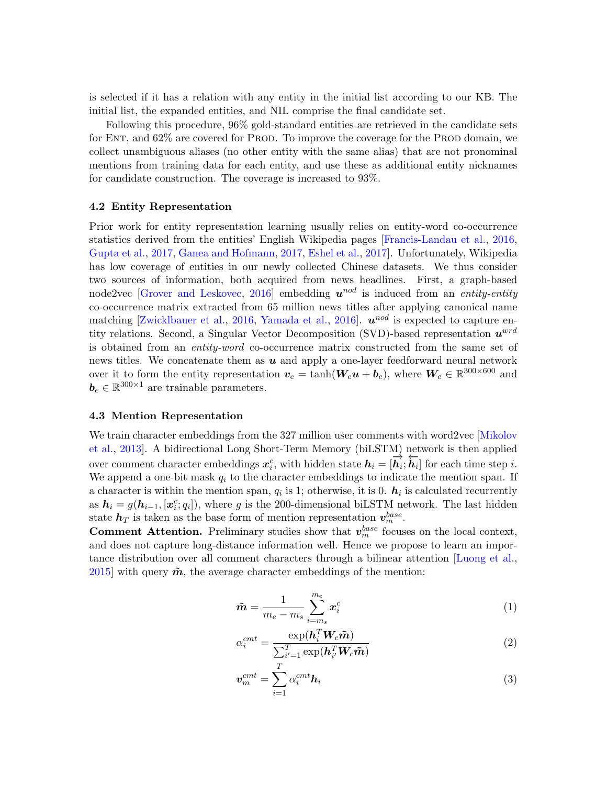is selected if it has a relation with any entity in the initial list according to our KB. The initial list, the expanded entities, and NIL comprise the final candidate set.

Following this procedure, 96% gold-standard entities are retrieved in the candidate sets for ENT, and 62\% are covered for PROD. To improve the coverage for the PROD domain, we collect unambiguous aliases (no other entity with the same alias) that are not pronominal mentions from training data for each entity, and use these as additional entity nicknames for candidate construction. The coverage is increased to 93%.

### 4.2 Entity Representation

Prior work for entity representation learning usually relies on entity-word co-occurrence statistics derived from the entities' English Wikipedia pages [\[Francis-Landau et al.,](#page-12-4) [2016,](#page-12-4) [Gupta et al.,](#page-13-1) [2017,](#page-13-1) [Ganea and Hofmann,](#page-12-7) [2017,](#page-12-7) [Eshel et al.,](#page-12-8) [2017\]](#page-12-8). Unfortunately, Wikipedia has low coverage of entities in our newly collected Chinese datasets. We thus consider two sources of information, both acquired from news headlines. First, a graph-based node2vec [\[Grover and Leskovec,](#page-12-9) [2016\]](#page-12-9) embedding  $u^{nod}$  is induced from an *entity-entity* co-occurrence matrix extracted from 65 million news titles after applying canonical name matching [\[Zwicklbauer et al.,](#page-16-2) [2016,](#page-16-2) [Yamada et al.,](#page-15-7) [2016\]](#page-15-7).  $u^{nod}$  is expected to capture entity relations. Second, a Singular Vector Decomposition (SVD)-based representation  $u^{wrd}$ is obtained from an entity-word co-occurrence matrix constructed from the same set of news titles. We concatenate them as  $u$  and apply a one-layer feedforward neural network over it to form the entity representation  $v_e = \tanh(W_e \boldsymbol{u} + \boldsymbol{b}_e)$ , where  $W_e \in \mathbb{R}^{300 \times 600}$  and  $\mathbf{b}_e \in \mathbb{R}^{300 \times 1}$  are trainable parameters.

#### 4.3 Mention Representation

We train character embeddings from the 327 million user comments with word2vec [\[Mikolov](#page-14-7)] [et al.,](#page-14-7) [2013\]](#page-14-7). A bidirectional Long Short-Term Memory (biLSTM) network is then applied over comment character embeddings  $x_i^c$ , with hidden state  $h_i = [\vec{h}_i; \vec{h}_i]$  for each time step *i*. We append a one-bit mask  $q_i$  to the character embeddings to indicate the mention span. If a character is within the mention span,  $q_i$  is 1; otherwise, it is 0.  $h_i$  is calculated recurrently as  $h_i = g(h_{i-1}, [x_i^c; q_i])$ , where g is the 200-dimensional biLSTM network. The last hidden state  $h_T$  is taken as the base form of mention representation  $v_m^{base}$ .

**Comment Attention.** Preliminary studies show that  $v_m^{base}$  focuses on the local context, and does not capture long-distance information well. Hence we propose to learn an importance distribution over all comment characters through a bilinear attention [\[Luong et al.,](#page-14-8) [2015\]](#page-14-8) with query  $\tilde{m}$ , the average character embeddings of the mention:

$$
\tilde{\boldsymbol{m}} = \frac{1}{m_e - m_s} \sum_{i=m_s}^{m_e} \boldsymbol{x}_i^c \tag{1}
$$

$$
\alpha_i^{cmt} = \frac{\exp(\mathbf{h}_i^T \mathbf{W}_c \tilde{\mathbf{m}})}{\sum_{i'=1}^T \exp(\mathbf{h}_{i'}^T \mathbf{W}_c \tilde{\mathbf{m}})}
$$
(2)

$$
\boldsymbol{v}_m^{cnt} = \sum_{i=1}^T \alpha_i^{cnt} \boldsymbol{h}_i
$$
 (3)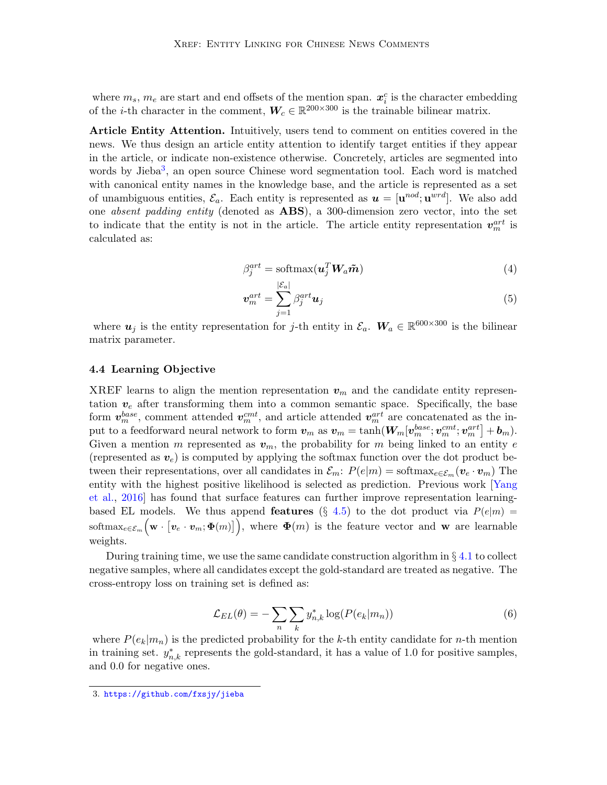where  $m_s$ ,  $m_e$  are start and end offsets of the mention span.  $x_i^c$  is the character embedding of the *i*-th character in the comment,  $W_c \in \mathbb{R}^{200 \times 300}$  is the trainable bilinear matrix.

Article Entity Attention. Intuitively, users tend to comment on entities covered in the news. We thus design an article entity attention to identify target entities if they appear in the article, or indicate non-existence otherwise. Concretely, articles are segmented into words by Jieba<sup>[3](#page-6-0)</sup>, an open source Chinese word segmentation tool. Each word is matched with canonical entity names in the knowledge base, and the article is represented as a set of unambiguous entities,  $\mathcal{E}_a$ . Each entity is represented as  $\mathbf{u} = [\mathbf{u}^{nod}; \mathbf{u}^{wrd}]$ . We also add one *absent padding entity* (denoted as **ABS**), a 300-dimension zero vector, into the set to indicate that the entity is not in the article. The article entity representation  $v_m^{art}$  is calculated as:

<span id="page-6-1"></span>
$$
\beta_j^{art} = \text{softmax}(\boldsymbol{u}_j^T \boldsymbol{W}_a \boldsymbol{\tilde{m}}) \tag{4}
$$

$$
\boldsymbol{v}_m^{art} = \sum_{j=1}^{|\mathcal{C}_a|} \beta_j^{art} \boldsymbol{u}_j \tag{5}
$$

where  $u_j$  is the entity representation for j-th entity in  $\mathcal{E}_a$ .  $W_a \in \mathbb{R}^{600 \times 300}$  is the bilinear matrix parameter.

#### 4.4 Learning Objective

XREF learns to align the mention representation  $v_m$  and the candidate entity representation  $v_e$  after transforming them into a common semantic space. Specifically, the base form  $\mathbf{v}_m^{base}$ , comment attended  $\mathbf{v}_m^{cnt}$ , and article attended  $\mathbf{v}_m^{art}$  are concatenated as the input to a feedforward neural network to form  $\bm{v}_m$  as  $\bm{v}_m = \tanh(\bm{W}_m[\bm{v}_m^{base};\bm{v}_m^{cnt};\bm{v}_m^{art}]+\bm{b}_m).$ Given a mention m represented as  $v_m$ , the probability for m being linked to an entity e (represented as  $v_e$ ) is computed by applying the softmax function over the dot product between their representations, over all candidates in  $\mathcal{E}_m$ :  $P(e|m) = \text{softmax}_{e \in \mathcal{E}_m}(v_e \cdot v_m)$  The entity with the highest positive likelihood is selected as prediction. Previous work [\[Yang](#page-16-1) [et al.,](#page-16-1) [2016\]](#page-16-1) has found that surface features can further improve representation learningbased EL models. We thus append **features** (§ [4.5\)](#page-7-1) to the dot product via  $P(e|m)$  = softmax<sub>e∈ $\varepsilon_m$ </sub> (w · [v<sub>e</sub> · v<sub>m</sub>;  $\Phi(m)$ ]), where  $\Phi(m)$  is the feature vector and w are learnable weights.

During training time, we use the same candidate construction algorithm in  $\S 4.1$  $\S 4.1$  to collect negative samples, where all candidates except the gold-standard are treated as negative. The cross-entropy loss on training set is defined as:

$$
\mathcal{L}_{EL}(\theta) = -\sum_{n} \sum_{k} y_{n,k}^{*} \log(P(e_k|m_n))
$$
\n(6)

where  $P(e_k|m_n)$  is the predicted probability for the k-th entity candidate for n-th mention in training set.  $y_{n,k}^*$  represents the gold-standard, it has a value of 1.0 for positive samples, and 0.0 for negative ones.

<span id="page-6-0"></span><sup>3.</sup> <https://github.com/fxsjy/jieba>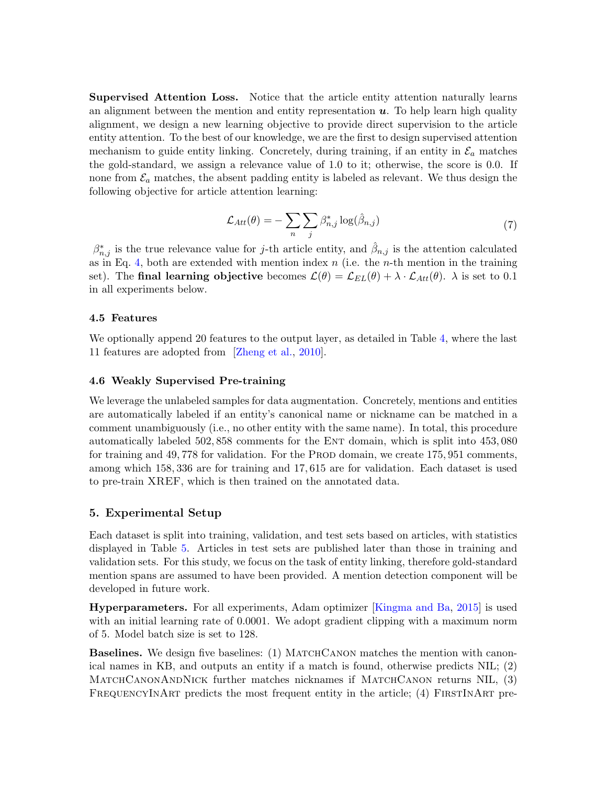Supervised Attention Loss. Notice that the article entity attention naturally learns an alignment between the mention and entity representation  $u$ . To help learn high quality alignment, we design a new learning objective to provide direct supervision to the article entity attention. To the best of our knowledge, we are the first to design supervised attention mechanism to guide entity linking. Concretely, during training, if an entity in  $\mathcal{E}_a$  matches the gold-standard, we assign a relevance value of 1.0 to it; otherwise, the score is 0.0. If none from  $\mathcal{E}_a$  matches, the absent padding entity is labeled as relevant. We thus design the following objective for article attention learning:

$$
\mathcal{L}_{Att}(\theta) = -\sum_{n} \sum_{j} \beta_{n,j}^{*} \log(\hat{\beta}_{n,j})
$$
\n(7)

 $\beta^*_{n,j}$  is the true relevance value for j-th article entity, and  $\hat{\beta}_{n,j}$  is the attention calculated as in Eq. [4,](#page-6-1) both are extended with mention index  $n$  (i.e. the *n*-th mention in the training set). The final learning objective becomes  $\mathcal{L}(\theta) = \mathcal{L}_{EL}(\theta) + \lambda \cdot \mathcal{L}_{Att}(\theta)$ .  $\lambda$  is set to 0.1 in all experiments below.

## <span id="page-7-1"></span>4.5 Features

We optionally append 20 features to the output layer, as detailed in Table [4,](#page-8-0) where the last 11 features are adopted from [\[Zheng et al.,](#page-16-3) [2010\]](#page-16-3).

### <span id="page-7-0"></span>4.6 Weakly Supervised Pre-training

We leverage the unlabeled samples for data augmentation. Concretely, mentions and entities are automatically labeled if an entity's canonical name or nickname can be matched in a comment unambiguously (i.e., no other entity with the same name). In total, this procedure automatically labeled 502, 858 comments for the ENT domain, which is split into 453, 080 for training and 49, 778 for validation. For the PROD domain, we create 175, 951 comments, among which 158, 336 are for training and 17, 615 are for validation. Each dataset is used to pre-train XREF, which is then trained on the annotated data.

## 5. Experimental Setup

Each dataset is split into training, validation, and test sets based on articles, with statistics displayed in Table [5.](#page-8-1) Articles in test sets are published later than those in training and validation sets. For this study, we focus on the task of entity linking, therefore gold-standard mention spans are assumed to have been provided. A mention detection component will be developed in future work.

Hyperparameters. For all experiments, Adam optimizer [\[Kingma and Ba,](#page-14-9) [2015\]](#page-14-9) is used with an initial learning rate of 0.0001. We adopt gradient clipping with a maximum norm of 5. Model batch size is set to 128.

Baselines. We design five baselines: (1) MATCHCANON matches the mention with canonical names in KB, and outputs an entity if a match is found, otherwise predicts NIL; (2) MATCHCANONANDNICK further matches nicknames if MATCHCANON returns NIL, (3) FREQUENCYINART predicts the most frequent entity in the article; (4) FIRSTINART pre-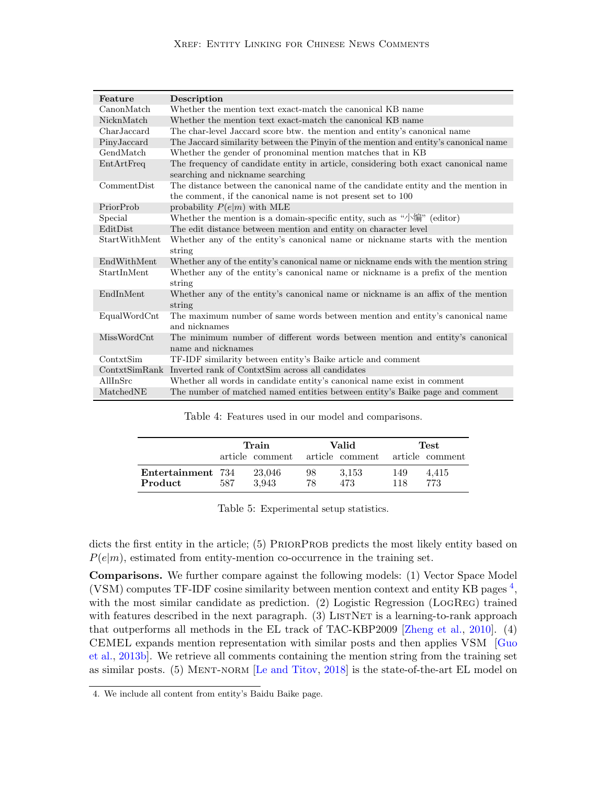## Xref: Entity Linking for Chinese News Comments

<span id="page-8-0"></span>

| Feature        | Description                                                                                                                                        |
|----------------|----------------------------------------------------------------------------------------------------------------------------------------------------|
| CanonMatch     | Whether the mention text exact-match the canonical KB name                                                                                         |
| NicknMatch     | Whether the mention text exact-match the canonical KB name                                                                                         |
| CharJaccard    | The char-level Jaccard score btw. the mention and entity's canonical name                                                                          |
| PinyJaccard    | The Jaccard similarity between the Pinyin of the mention and entity's canonical name                                                               |
| GendMatch      | Whether the gender of pronominal mention matches that in KB                                                                                        |
| EntArtFreq     | The frequency of candidate entity in article, considering both exact canonical name<br>searching and nickname searching                            |
| CommentDist    | The distance between the canonical name of the candidate entity and the mention in<br>the comment, if the canonical name is not present set to 100 |
| PriorProb      | probability $P(e m)$ with MLE                                                                                                                      |
| Special        | Whether the mention is a domain-specific entity, such as " $\frac{1}{4}$ " (editor)                                                                |
| EditDist       | The edit distance between mention and entity on character level                                                                                    |
| StartWithMent  | Whether any of the entity's canonical name or nickname starts with the mention<br>string                                                           |
| EndWithMent    | Whether any of the entity's canonical name or nickname ends with the mention string                                                                |
| StartInMent    | Whether any of the entity's canonical name or nickname is a prefix of the mention<br>string                                                        |
| EndInMent      | Whether any of the entity's canonical name or nickname is an affix of the mention<br>string                                                        |
| EqualWordCnt   | The maximum number of same words between mention and entity's canonical name<br>and nicknames                                                      |
| MissWordCnt    | The minimum number of different words between mention and entity's canonical<br>name and nicknames                                                 |
| ContxtSim      | TF-IDF similarity between entity's Baike article and comment                                                                                       |
| ContrxtSimRank | Inverted rank of ContxtSim across all candidates                                                                                                   |
| AllInSrc       | Whether all words in candidate entity's canonical name exist in comment                                                                            |
| MatchedNE      | The number of matched named entities between entity's Baike page and comment                                                                       |

Table 4: Features used in our model and comparisons.

<span id="page-8-1"></span>

|                              | Train |                 |          | Valid                           | Test       |              |
|------------------------------|-------|-----------------|----------|---------------------------------|------------|--------------|
|                              |       | article comment |          | article comment article comment |            |              |
| Entertainment 734<br>Product | 587   | 23,046<br>3.943 | 98<br>78 | 3.153<br>473                    | 149<br>118 | 4,415<br>773 |

Table 5: Experimental setup statistics.

dicts the first entity in the article; (5) PRIORPROB predicts the most likely entity based on  $P(e|m)$ , estimated from entity-mention co-occurrence in the training set.

Comparisons. We further compare against the following models: (1) Vector Space Model (VSM) computes TF-IDF cosine similarity between mention context and entity KB pages<sup>[4](#page-8-2)</sup>, with the most similar candidate as prediction. (2) Logistic Regression (LOGREG) trained with features described in the next paragraph.  $(3)$  LISTNET is a learning-to-rank approach that outperforms all methods in the EL track of TAC-KBP2009 [\[Zheng et al.,](#page-16-3) [2010\]](#page-16-3). (4) CEMEL expands mention representation with similar posts and then applies VSM [\[Guo](#page-13-3) [et al.,](#page-13-3) [2013b\]](#page-13-3). We retrieve all comments containing the mention string from the training set as similar posts. (5) MENT-NORM [\[Le and Titov,](#page-14-4) [2018\]](#page-14-4) is the state-of-the-art EL model on

<span id="page-8-2"></span><sup>4.</sup> We include all content from entity's Baidu Baike page.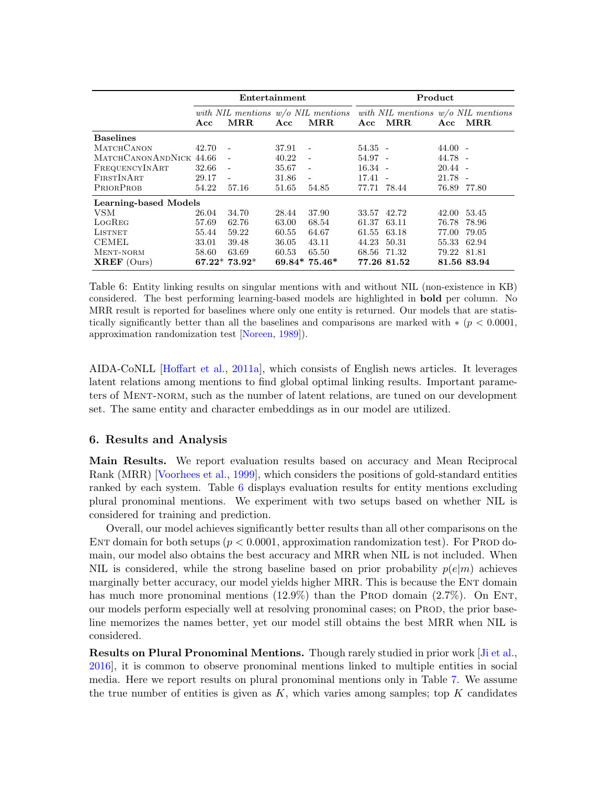<span id="page-9-0"></span>

|                              | Entertainment |                          |       | Product                  |             |                                                                                                   |             |             |
|------------------------------|---------------|--------------------------|-------|--------------------------|-------------|---------------------------------------------------------------------------------------------------|-------------|-------------|
|                              | Acc           | $\operatorname{MRR}$     | Acc   | MR.R.                    | Acc         | with NIL mentions $w/o$ NIL mentions with NIL mentions $w/o$ NIL mentions<br>$\operatorname{MRR}$ | Acc         | MR.R.       |
| <b>Baselines</b>             |               |                          |       |                          |             |                                                                                                   |             |             |
| <b>MATCHCANON</b>            | 42.70         | $\sim$ $-$               | 37.91 | $\overline{\phantom{a}}$ | $54.35 -$   |                                                                                                   | $44.00 -$   |             |
| MATCHCANONANDNICK 44.66      |               | $\sim$ $-$               | 40.22 | $\sim$                   | 54.97 -     |                                                                                                   | $44.78 -$   |             |
| FREQUENCYINART               | 32.66         | $\overline{\phantom{a}}$ | 35.67 | $\sim$                   | $16.34 -$   |                                                                                                   | $20.44 -$   |             |
| FIRSTINART                   | 29.17         | $\sim$                   | 31.86 | $\overline{\phantom{a}}$ | 17.41       |                                                                                                   | $21.78 -$   |             |
| PRIORPROB                    | 54.22         | 57.16                    | 51.65 | 54.85                    | 77.71 78.44 |                                                                                                   | 76.89 77.80 |             |
| <b>Learning-based Models</b> |               |                          |       |                          |             |                                                                                                   |             |             |
| <b>VSM</b>                   | 26.04         | 34.70                    | 28.44 | 37.90                    | 33.57 42.72 |                                                                                                   | 42.00       | 53.45       |
| LOGREG                       | 57.69         | 62.76                    | 63.00 | 68.54                    | 61.37       | 63.11                                                                                             | 76.78       | 78.96       |
| LISTNET                      | 55.44         | 59.22                    | 60.55 | 64.67                    | 61.55       | 63.18                                                                                             | 77.00       | 79.05       |
| <b>CEMEL</b>                 | 33.01         | 39.48                    | 36.05 | 43.11                    | 44.23       | 50.31                                                                                             | 55.33       | 62.94       |
| MENT-NORM                    | 58.60         | 63.69                    | 60.53 | 65.50                    | 68.56       | 71.32                                                                                             | 79.22       | 81.81       |
| $XREF$ (Ours)                |               | $67.22^*$ $73.92^*$      |       | $69.84*75.46*$           |             | 77.26 81.52                                                                                       |             | 81.56 83.94 |

Table 6: Entity linking results on singular mentions with and without NIL (non-existence in KB) considered. The best performing learning-based models are highlighted in bold per column. No MRR result is reported for baselines where only one entity is returned. Our models that are statistically significantly better than all the baselines and comparisons are marked with  $*(p < 0.0001,$ approximation randomization test [\[Noreen,](#page-15-8) [1989\]](#page-15-8)).

AIDA-CoNLL [\[Hoffart et al.,](#page-13-6) [2011a\]](#page-13-6), which consists of English news articles. It leverages latent relations among mentions to find global optimal linking results. Important parameters of Ment-norm, such as the number of latent relations, are tuned on our development set. The same entity and character embeddings as in our model are utilized.

# 6. Results and Analysis

Main Results. We report evaluation results based on accuracy and Mean Reciprocal Rank (MRR) [\[Voorhees et al.,](#page-15-9) [1999\]](#page-15-9), which considers the positions of gold-standard entities ranked by each system. Table [6](#page-9-0) displays evaluation results for entity mentions excluding plural pronominal mentions. We experiment with two setups based on whether NIL is considered for training and prediction.

Overall, our model achieves significantly better results than all other comparisons on the ENT domain for both setups ( $p < 0.0001$ , approximation randomization test). For PROD domain, our model also obtains the best accuracy and MRR when NIL is not included. When NIL is considered, while the strong baseline based on prior probability  $p(e|m)$  achieves marginally better accuracy, our model yields higher MRR. This is because the ENT domain has much more pronominal mentions  $(12.9\%)$  than the PROD domain  $(2.7\%)$ . On ENT, our models perform especially well at resolving pronominal cases; on Prod, the prior baseline memorizes the names better, yet our model still obtains the best MRR when NIL is considered.

Results on Plural Pronominal Mentions. Though rarely studied in prior work [\[Ji et al.,](#page-13-7) [2016\]](#page-13-7), it is common to observe pronominal mentions linked to multiple entities in social media. Here we report results on plural pronominal mentions only in Table [7.](#page-10-0) We assume the true number of entities is given as  $K$ , which varies among samples; top K candidates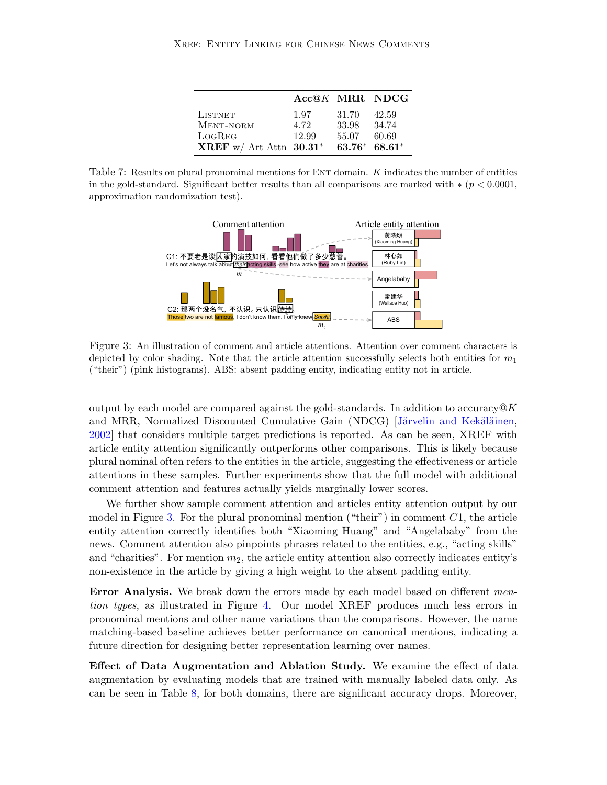|                            | Acc@K MRR NDCG |       |                 |
|----------------------------|----------------|-------|-----------------|
| <b>LISTNET</b>             | 1.97           | 31.70 | 42.59           |
| MENT-NORM                  | 4.72           | 33.98 | 34.74           |
| LOGREG                     | 12.99          | 55.07 | 60.69           |
| XREF w/ Art Attn $30.31^*$ |                |       | $63.76* 68.61*$ |

<span id="page-10-1"></span><span id="page-10-0"></span>Table 7: Results on plural pronominal mentions for ENT domain. K indicates the number of entities in the gold-standard. Significant better results than all comparisons are marked with  $*(p < 0.0001,$ approximation randomization test).



Figure 3: An illustration of comment and article attentions. Attention over comment characters is depicted by color shading. Note that the article attention successfully selects both entities for  $m_1$ ("their") (pink histograms). ABS: absent padding entity, indicating entity not in article.

output by each model are compared against the gold-standards. In addition to accuracy  $\mathcal{Q}K$ and MRR, Normalized Discounted Cumulative Gain (NDCG) [Järvelin and Kekäläinen, [2002\]](#page-13-8) that considers multiple target predictions is reported. As can be seen, XREF with article entity attention significantly outperforms other comparisons. This is likely because plural nominal often refers to the entities in the article, suggesting the effectiveness or article attentions in these samples. Further experiments show that the full model with additional comment attention and features actually yields marginally lower scores.

We further show sample comment attention and articles entity attention output by our model in Figure [3.](#page-10-1) For the plural pronominal mention ("their") in comment  $C_1$ , the article entity attention correctly identifies both "Xiaoming Huang" and "Angelababy" from the news. Comment attention also pinpoints phrases related to the entities, e.g., "acting skills" and "charities". For mention  $m_2$ , the article entity attention also correctly indicates entity's non-existence in the article by giving a high weight to the absent padding entity.

**Error Analysis.** We break down the errors made by each model based on different mention types, as illustrated in Figure [4.](#page-11-2) Our model XREF produces much less errors in pronominal mentions and other name variations than the comparisons. However, the name matching-based baseline achieves better performance on canonical mentions, indicating a future direction for designing better representation learning over names.

Effect of Data Augmentation and Ablation Study. We examine the effect of data augmentation by evaluating models that are trained with manually labeled data only. As can be seen in Table [8,](#page-11-3) for both domains, there are significant accuracy drops. Moreover,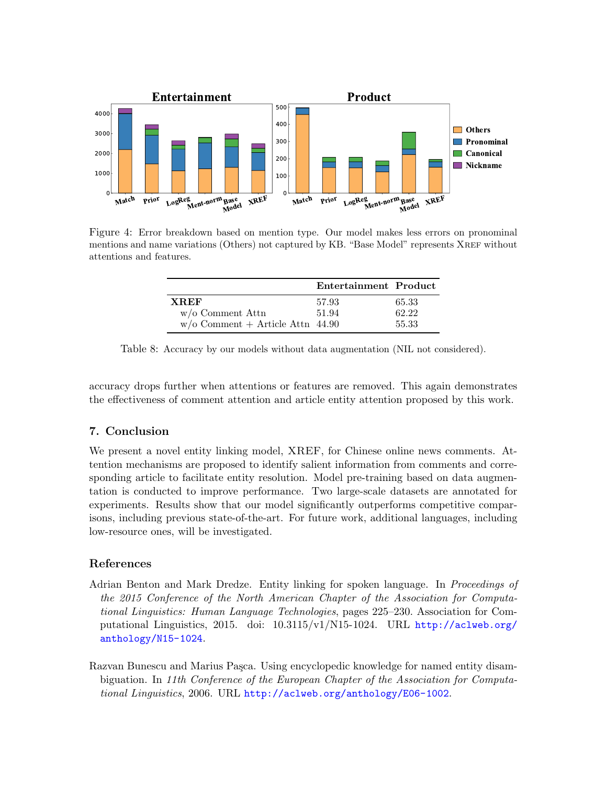<span id="page-11-2"></span>

<span id="page-11-3"></span>Figure 4: Error breakdown based on mention type. Our model makes less errors on pronominal mentions and name variations (Others) not captured by KB. "Base Model" represents XREF without attentions and features.

|                                    | Entertainment Product |       |
|------------------------------------|-----------------------|-------|
| <b>XREF</b>                        | 57.93                 | 65.33 |
| $w/o$ Comment Attn                 | 51.94                 | 62.22 |
| $w/o$ Comment + Article Attn 44.90 |                       | 55.33 |

Table 8: Accuracy by our models without data augmentation (NIL not considered).

accuracy drops further when attentions or features are removed. This again demonstrates the effectiveness of comment attention and article entity attention proposed by this work.

# 7. Conclusion

We present a novel entity linking model, XREF, for Chinese online news comments. Attention mechanisms are proposed to identify salient information from comments and corresponding article to facilitate entity resolution. Model pre-training based on data augmentation is conducted to improve performance. Two large-scale datasets are annotated for experiments. Results show that our model significantly outperforms competitive comparisons, including previous state-of-the-art. For future work, additional languages, including low-resource ones, will be investigated.

# References

<span id="page-11-0"></span>Adrian Benton and Mark Dredze. Entity linking for spoken language. In *Proceedings of* the 2015 Conference of the North American Chapter of the Association for Computational Linguistics: Human Language Technologies, pages 225–230. Association for Computational Linguistics, 2015. doi: 10.3115/v1/N15-1024. URL [http://aclweb.org/](http://aclweb.org/anthology/N15-1024) [anthology/N15-1024](http://aclweb.org/anthology/N15-1024).

<span id="page-11-1"></span>Razvan Bunescu and Marius Pasca. Using encyclopedic knowledge for named entity disambiguation. In 11th Conference of the European Chapter of the Association for Computational Linguistics, 2006. URL <http://aclweb.org/anthology/E06-1002>.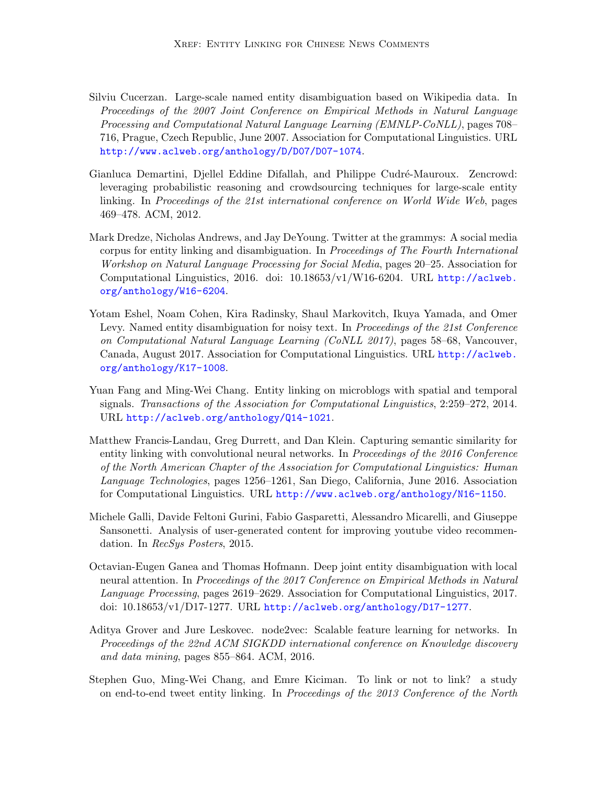- <span id="page-12-5"></span>Silviu Cucerzan. Large-scale named entity disambiguation based on Wikipedia data. In Proceedings of the 2007 Joint Conference on Empirical Methods in Natural Language Processing and Computational Natural Language Learning (EMNLP-CoNLL), pages 708– 716, Prague, Czech Republic, June 2007. Association for Computational Linguistics. URL <http://www.aclweb.org/anthology/D/D07/D07-1074>.
- <span id="page-12-2"></span>Gianluca Demartini, Djellel Eddine Difallah, and Philippe Cudré-Mauroux. Zencrowd: leveraging probabilistic reasoning and crowdsourcing techniques for large-scale entity linking. In Proceedings of the 21st international conference on World Wide Web, pages 469–478. ACM, 2012.
- <span id="page-12-0"></span>Mark Dredze, Nicholas Andrews, and Jay DeYoung. Twitter at the grammys: A social media corpus for entity linking and disambiguation. In Proceedings of The Fourth International Workshop on Natural Language Processing for Social Media, pages 20–25. Association for Computational Linguistics, 2016. doi: 10.18653/v1/W16-6204. URL [http://aclweb.](http://aclweb.org/anthology/W16-6204) [org/anthology/W16-6204](http://aclweb.org/anthology/W16-6204).
- <span id="page-12-8"></span>Yotam Eshel, Noam Cohen, Kira Radinsky, Shaul Markovitch, Ikuya Yamada, and Omer Levy. Named entity disambiguation for noisy text. In Proceedings of the 21st Conference on Computational Natural Language Learning (CoNLL 2017), pages 58–68, Vancouver, Canada, August 2017. Association for Computational Linguistics. URL [http://aclweb.](http://aclweb.org/anthology/K17-1008) [org/anthology/K17-1008](http://aclweb.org/anthology/K17-1008).
- <span id="page-12-6"></span>Yuan Fang and Ming-Wei Chang. Entity linking on microblogs with spatial and temporal signals. Transactions of the Association for Computational Linguistics, 2:259–272, 2014. URL <http://aclweb.org/anthology/Q14-1021>.
- <span id="page-12-4"></span>Matthew Francis-Landau, Greg Durrett, and Dan Klein. Capturing semantic similarity for entity linking with convolutional neural networks. In Proceedings of the 2016 Conference of the North American Chapter of the Association for Computational Linguistics: Human Language Technologies, pages 1256–1261, San Diego, California, June 2016. Association for Computational Linguistics. URL <http://www.aclweb.org/anthology/N16-1150>.
- <span id="page-12-1"></span>Michele Galli, Davide Feltoni Gurini, Fabio Gasparetti, Alessandro Micarelli, and Giuseppe Sansonetti. Analysis of user-generated content for improving youtube video recommendation. In RecSys Posters, 2015.
- <span id="page-12-7"></span>Octavian-Eugen Ganea and Thomas Hofmann. Deep joint entity disambiguation with local neural attention. In Proceedings of the 2017 Conference on Empirical Methods in Natural Language Processing, pages 2619–2629. Association for Computational Linguistics, 2017. doi: 10.18653/v1/D17-1277. URL <http://aclweb.org/anthology/D17-1277>.
- <span id="page-12-9"></span>Aditya Grover and Jure Leskovec. node2vec: Scalable feature learning for networks. In Proceedings of the 22nd ACM SIGKDD international conference on Knowledge discovery and data mining, pages 855–864. ACM, 2016.
- <span id="page-12-3"></span>Stephen Guo, Ming-Wei Chang, and Emre Kiciman. To link or not to link? a study on end-to-end tweet entity linking. In Proceedings of the 2013 Conference of the North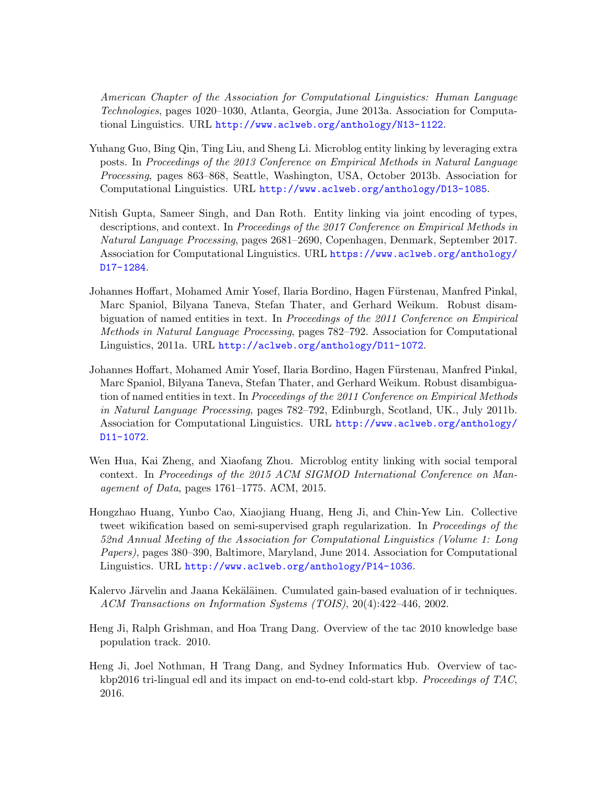American Chapter of the Association for Computational Linguistics: Human Language Technologies, pages 1020–1030, Atlanta, Georgia, June 2013a. Association for Computational Linguistics. URL <http://www.aclweb.org/anthology/N13-1122>.

- <span id="page-13-3"></span>Yuhang Guo, Bing Qin, Ting Liu, and Sheng Li. Microblog entity linking by leveraging extra posts. In Proceedings of the 2013 Conference on Empirical Methods in Natural Language Processing, pages 863–868, Seattle, Washington, USA, October 2013b. Association for Computational Linguistics. URL <http://www.aclweb.org/anthology/D13-1085>.
- <span id="page-13-1"></span>Nitish Gupta, Sameer Singh, and Dan Roth. Entity linking via joint encoding of types, descriptions, and context. In Proceedings of the 2017 Conference on Empirical Methods in Natural Language Processing, pages 2681–2690, Copenhagen, Denmark, September 2017. Association for Computational Linguistics. URL [https://www.aclweb.org/anthology/](https://www.aclweb.org/anthology/D17-1284) [D17-1284](https://www.aclweb.org/anthology/D17-1284).
- <span id="page-13-6"></span>Johannes Hoffart, Mohamed Amir Yosef, Ilaria Bordino, Hagen Fürstenau, Manfred Pinkal, Marc Spaniol, Bilyana Taneva, Stefan Thater, and Gerhard Weikum. Robust disambiguation of named entities in text. In Proceedings of the 2011 Conference on Empirical Methods in Natural Language Processing, pages 782–792. Association for Computational Linguistics, 2011a. URL <http://aclweb.org/anthology/D11-1072>.
- <span id="page-13-2"></span>Johannes Hoffart, Mohamed Amir Yosef, Ilaria Bordino, Hagen Fürstenau, Manfred Pinkal, Marc Spaniol, Bilyana Taneva, Stefan Thater, and Gerhard Weikum. Robust disambiguation of named entities in text. In Proceedings of the 2011 Conference on Empirical Methods in Natural Language Processing, pages 782–792, Edinburgh, Scotland, UK., July 2011b. Association for Computational Linguistics. URL [http://www.aclweb.org/anthology/](http://www.aclweb.org/anthology/D11-1072) [D11-1072](http://www.aclweb.org/anthology/D11-1072).
- <span id="page-13-4"></span>Wen Hua, Kai Zheng, and Xiaofang Zhou. Microblog entity linking with social temporal context. In Proceedings of the 2015 ACM SIGMOD International Conference on Management of Data, pages 1761–1775. ACM, 2015.
- <span id="page-13-5"></span>Hongzhao Huang, Yunbo Cao, Xiaojiang Huang, Heng Ji, and Chin-Yew Lin. Collective tweet wikification based on semi-supervised graph regularization. In Proceedings of the 52nd Annual Meeting of the Association for Computational Linguistics (Volume 1: Long Papers), pages 380–390, Baltimore, Maryland, June 2014. Association for Computational Linguistics. URL <http://www.aclweb.org/anthology/P14-1036>.
- <span id="page-13-8"></span>Kalervo Järvelin and Jaana Kekäläinen. Cumulated gain-based evaluation of ir techniques. ACM Transactions on Information Systems (TOIS), 20(4):422–446, 2002.
- <span id="page-13-0"></span>Heng Ji, Ralph Grishman, and Hoa Trang Dang. Overview of the tac 2010 knowledge base population track. 2010.
- <span id="page-13-7"></span>Heng Ji, Joel Nothman, H Trang Dang, and Sydney Informatics Hub. Overview of tackbp2016 tri-lingual edl and its impact on end-to-end cold-start kbp. Proceedings of TAC, 2016.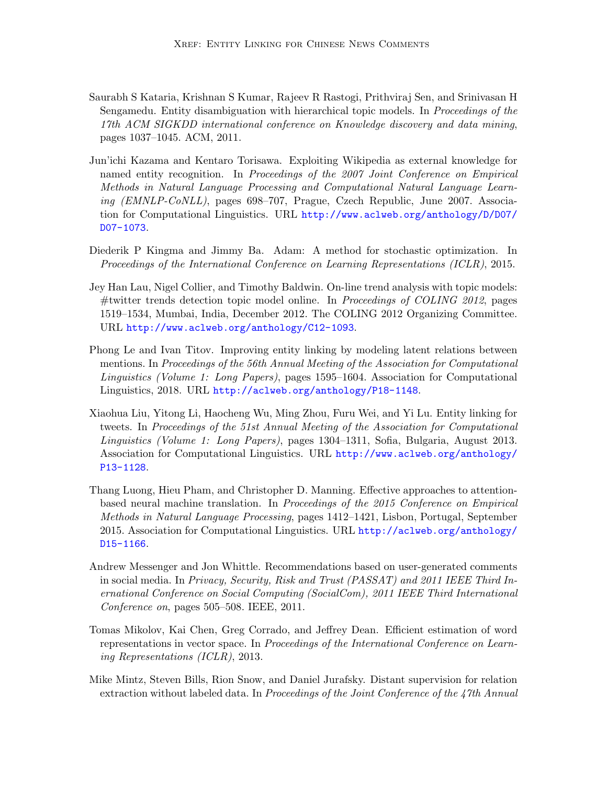- <span id="page-14-5"></span>Saurabh S Kataria, Krishnan S Kumar, Rajeev R Rastogi, Prithviraj Sen, and Srinivasan H Sengamedu. Entity disambiguation with hierarchical topic models. In Proceedings of the 17th ACM SIGKDD international conference on Knowledge discovery and data mining, pages 1037–1045. ACM, 2011.
- <span id="page-14-2"></span>Jun'ichi Kazama and Kentaro Torisawa. Exploiting Wikipedia as external knowledge for named entity recognition. In Proceedings of the 2007 Joint Conference on Empirical Methods in Natural Language Processing and Computational Natural Language Learning (EMNLP-CoNLL), pages 698–707, Prague, Czech Republic, June 2007. Association for Computational Linguistics. URL [http://www.aclweb.org/anthology/D/D07/](http://www.aclweb.org/anthology/D/D07/D07-1073) [D07-1073](http://www.aclweb.org/anthology/D/D07/D07-1073).
- <span id="page-14-9"></span>Diederik P Kingma and Jimmy Ba. Adam: A method for stochastic optimization. In Proceedings of the International Conference on Learning Representations (ICLR), 2015.
- <span id="page-14-0"></span>Jey Han Lau, Nigel Collier, and Timothy Baldwin. On-line trend analysis with topic models: #twitter trends detection topic model online. In Proceedings of COLING 2012, pages 1519–1534, Mumbai, India, December 2012. The COLING 2012 Organizing Committee. URL <http://www.aclweb.org/anthology/C12-1093>.
- <span id="page-14-4"></span>Phong Le and Ivan Titov. Improving entity linking by modeling latent relations between mentions. In Proceedings of the 56th Annual Meeting of the Association for Computational Linguistics (Volume 1: Long Papers), pages 1595–1604. Association for Computational Linguistics, 2018. URL <http://aclweb.org/anthology/P18-1148>.
- <span id="page-14-6"></span>Xiaohua Liu, Yitong Li, Haocheng Wu, Ming Zhou, Furu Wei, and Yi Lu. Entity linking for tweets. In Proceedings of the 51st Annual Meeting of the Association for Computational Linguistics (Volume 1: Long Papers), pages 1304–1311, Sofia, Bulgaria, August 2013. Association for Computational Linguistics. URL [http://www.aclweb.org/anthology/](http://www.aclweb.org/anthology/P13-1128) [P13-1128](http://www.aclweb.org/anthology/P13-1128).
- <span id="page-14-8"></span>Thang Luong, Hieu Pham, and Christopher D. Manning. Effective approaches to attentionbased neural machine translation. In Proceedings of the 2015 Conference on Empirical Methods in Natural Language Processing, pages 1412–1421, Lisbon, Portugal, September 2015. Association for Computational Linguistics. URL [http://aclweb.org/anthology/](http://aclweb.org/anthology/D15-1166) [D15-1166](http://aclweb.org/anthology/D15-1166).
- <span id="page-14-1"></span>Andrew Messenger and Jon Whittle. Recommendations based on user-generated comments in social media. In Privacy, Security, Risk and Trust (PASSAT) and 2011 IEEE Third Inernational Conference on Social Computing (SocialCom), 2011 IEEE Third International Conference on, pages 505–508. IEEE, 2011.
- <span id="page-14-7"></span>Tomas Mikolov, Kai Chen, Greg Corrado, and Jeffrey Dean. Efficient estimation of word representations in vector space. In Proceedings of the International Conference on Learning Representations (ICLR), 2013.
- <span id="page-14-3"></span>Mike Mintz, Steven Bills, Rion Snow, and Daniel Jurafsky. Distant supervision for relation extraction without labeled data. In Proceedings of the Joint Conference of the 47th Annual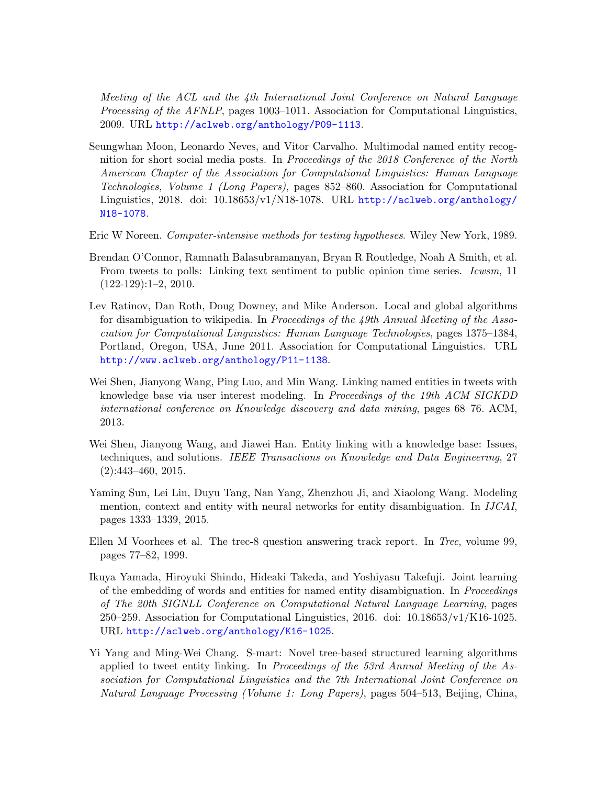Meeting of the ACL and the 4th International Joint Conference on Natural Language Processing of the AFNLP, pages 1003–1011. Association for Computational Linguistics, 2009. URL <http://aclweb.org/anthology/P09-1113>.

- <span id="page-15-3"></span>Seungwhan Moon, Leonardo Neves, and Vitor Carvalho. Multimodal named entity recognition for short social media posts. In Proceedings of the 2018 Conference of the North American Chapter of the Association for Computational Linguistics: Human Language Technologies, Volume 1 (Long Papers), pages 852–860. Association for Computational Linguistics, 2018. doi: 10.18653/v1/N18-1078. URL [http://aclweb.org/anthology/](http://aclweb.org/anthology/N18-1078) [N18-1078](http://aclweb.org/anthology/N18-1078).
- <span id="page-15-8"></span>Eric W Noreen. Computer-intensive methods for testing hypotheses. Wiley New York, 1989.
- <span id="page-15-0"></span>Brendan O'Connor, Ramnath Balasubramanyan, Bryan R Routledge, Noah A Smith, et al. From tweets to polls: Linking text sentiment to public opinion time series. Icwsm, 11 (122-129):1–2, 2010.
- <span id="page-15-1"></span>Lev Ratinov, Dan Roth, Doug Downey, and Mike Anderson. Local and global algorithms for disambiguation to wikipedia. In Proceedings of the 49th Annual Meeting of the Association for Computational Linguistics: Human Language Technologies, pages 1375–1384, Portland, Oregon, USA, June 2011. Association for Computational Linguistics. URL <http://www.aclweb.org/anthology/P11-1138>.
- <span id="page-15-6"></span>Wei Shen, Jianyong Wang, Ping Luo, and Min Wang. Linking named entities in tweets with knowledge base via user interest modeling. In Proceedings of the 19th ACM SIGKDD international conference on Knowledge discovery and data mining, pages 68–76. ACM, 2013.
- <span id="page-15-4"></span>Wei Shen, Jianyong Wang, and Jiawei Han. Entity linking with a knowledge base: Issues, techniques, and solutions. IEEE Transactions on Knowledge and Data Engineering, 27 (2):443–460, 2015.
- <span id="page-15-5"></span>Yaming Sun, Lei Lin, Duyu Tang, Nan Yang, Zhenzhou Ji, and Xiaolong Wang. Modeling mention, context and entity with neural networks for entity disambiguation. In IJCAI, pages 1333–1339, 2015.
- <span id="page-15-9"></span>Ellen M Voorhees et al. The trec-8 question answering track report. In Trec, volume 99, pages 77–82, 1999.
- <span id="page-15-7"></span>Ikuya Yamada, Hiroyuki Shindo, Hideaki Takeda, and Yoshiyasu Takefuji. Joint learning of the embedding of words and entities for named entity disambiguation. In Proceedings of The 20th SIGNLL Conference on Computational Natural Language Learning, pages 250–259. Association for Computational Linguistics, 2016. doi: 10.18653/v1/K16-1025. URL <http://aclweb.org/anthology/K16-1025>.
- <span id="page-15-2"></span>Yi Yang and Ming-Wei Chang. S-mart: Novel tree-based structured learning algorithms applied to tweet entity linking. In Proceedings of the 53rd Annual Meeting of the Association for Computational Linguistics and the 7th International Joint Conference on Natural Language Processing (Volume 1: Long Papers), pages 504–513, Beijing, China,